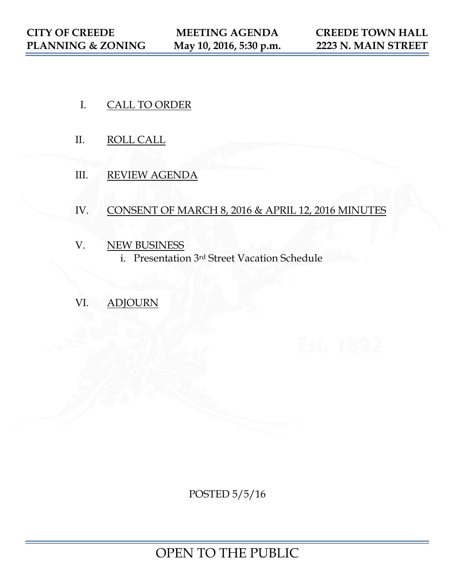- I. CALL TO ORDER
- II. ROLL CALL
- III. REVIEW AGENDA

# IV. CONSENT OF MARCH 8, 2016 & APRIL 12, 2016 MINUTES

- V. NEW BUSINESS
	- i. Presentation 3rd Street Vacation Schedule
- VI. ADJOURN

POSTED 5/5/16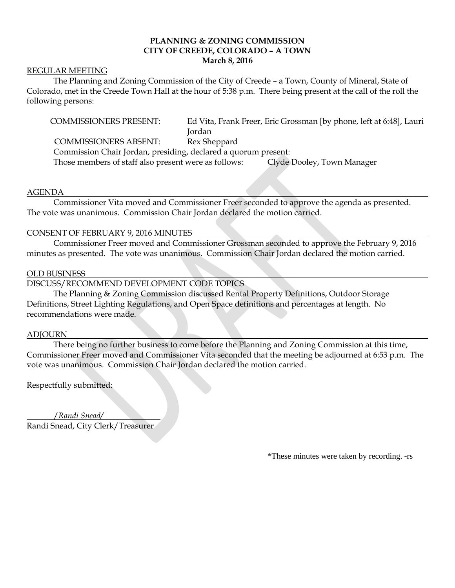# **PLANNING & ZONING COMMISSION CITY OF CREEDE, COLORADO – A TOWN March 8, 2016**

#### REGULAR MEETING

The Planning and Zoning Commission of the City of Creede – a Town, County of Mineral, State of Colorado, met in the Creede Town Hall at the hour of 5:38 p.m. There being present at the call of the roll the following persons:

COMMISSIONERS PRESENT: Ed Vita, Frank Freer, Eric Grossman [by phone, left at 6:48], Lauri Jordan

COMMISSIONERS ABSENT: Rex Sheppard

Commission Chair Jordan, presiding, declared a quorum present:

Those members of staff also present were as follows: Clyde Dooley, Town Manager

#### AGENDA

Commissioner Vita moved and Commissioner Freer seconded to approve the agenda as presented. The vote was unanimous. Commission Chair Jordan declared the motion carried.

#### CONSENT OF FEBRUARY 9, 2016 MINUTES

Commissioner Freer moved and Commissioner Grossman seconded to approve the February 9, 2016 minutes as presented. The vote was unanimous. Commission Chair Jordan declared the motion carried.

#### OLD BUSINESS

DISCUSS/RECOMMEND DEVELOPMENT CODE TOPICS

The Planning & Zoning Commission discussed Rental Property Definitions, Outdoor Storage Definitions, Street Lighting Regulations, and Open Space definitions and percentages at length. No recommendations were made.

#### ADJOURN

There being no further business to come before the Planning and Zoning Commission at this time, Commissioner Freer moved and Commissioner Vita seconded that the meeting be adjourned at 6:53 p.m. The vote was unanimous. Commission Chair Jordan declared the motion carried.

Respectfully submitted:

/*Randi Snead/* Randi Snead, City Clerk/Treasurer

\*These minutes were taken by recording. -rs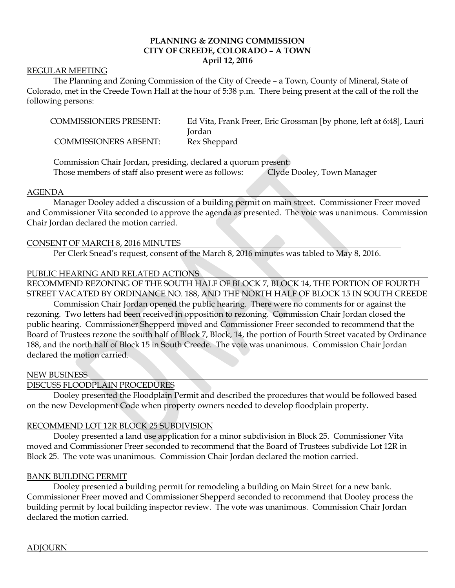# **PLANNING & ZONING COMMISSION CITY OF CREEDE, COLORADO – A TOWN April 12, 2016**

#### REGULAR MEETING

The Planning and Zoning Commission of the City of Creede – a Town, County of Mineral, State of Colorado, met in the Creede Town Hall at the hour of 5:38 p.m. There being present at the call of the roll the following persons:

| <b>COMMISSIONERS PRESENT:</b> | Ed Vita, Frank Freer, Eric Grossman [by phone, left at 6:48], Lauri |
|-------------------------------|---------------------------------------------------------------------|
|                               | Jordan                                                              |
| <b>COMMISSIONERS ABSENT:</b>  | Rex Sheppard                                                        |

Commission Chair Jordan, presiding, declared a quorum present: Those members of staff also present were as follows: Clyde Dooley, Town Manager

#### AGENDA

Manager Dooley added a discussion of a building permit on main street. Commissioner Freer moved and Commissioner Vita seconded to approve the agenda as presented. The vote was unanimous. Commission Chair Jordan declared the motion carried.

#### CONSENT OF MARCH 8, 2016 MINUTES

Per Clerk Snead's request, consent of the March 8, 2016 minutes was tabled to May 8, 2016.

# PUBLIC HEARING AND RELATED ACTIONS

RECOMMEND REZONING OF THE SOUTH HALF OF BLOCK 7, BLOCK 14, THE PORTION OF FOURTH STREET VACATED BY ORDINANCE NO. 188, AND THE NORTH HALF OF BLOCK 15 IN SOUTH CREEDE

Commission Chair Jordan opened the public hearing. There were no comments for or against the rezoning. Two letters had been received in opposition to rezoning. Commission Chair Jordan closed the public hearing. Commissioner Shepperd moved and Commissioner Freer seconded to recommend that the Board of Trustees rezone the south half of Block 7, Block, 14, the portion of Fourth Street vacated by Ordinance 188, and the north half of Block 15 in South Creede. The vote was unanimous. Commission Chair Jordan declared the motion carried.

#### NEW BUSINESS

# DISCUSS FLOODPLAIN PROCEDURES

Dooley presented the Floodplain Permit and described the procedures that would be followed based on the new Development Code when property owners needed to develop floodplain property.

# RECOMMEND LOT 12R BLOCK 25 SUBDIVISION

Dooley presented a land use application for a minor subdivision in Block 25. Commissioner Vita moved and Commissioner Freer seconded to recommend that the Board of Trustees subdivide Lot 12R in Block 25. The vote was unanimous. Commission Chair Jordan declared the motion carried.

# BANK BUILDING PERMIT

Dooley presented a building permit for remodeling a building on Main Street for a new bank. Commissioner Freer moved and Commissioner Shepperd seconded to recommend that Dooley process the building permit by local building inspector review. The vote was unanimous. Commission Chair Jordan declared the motion carried.